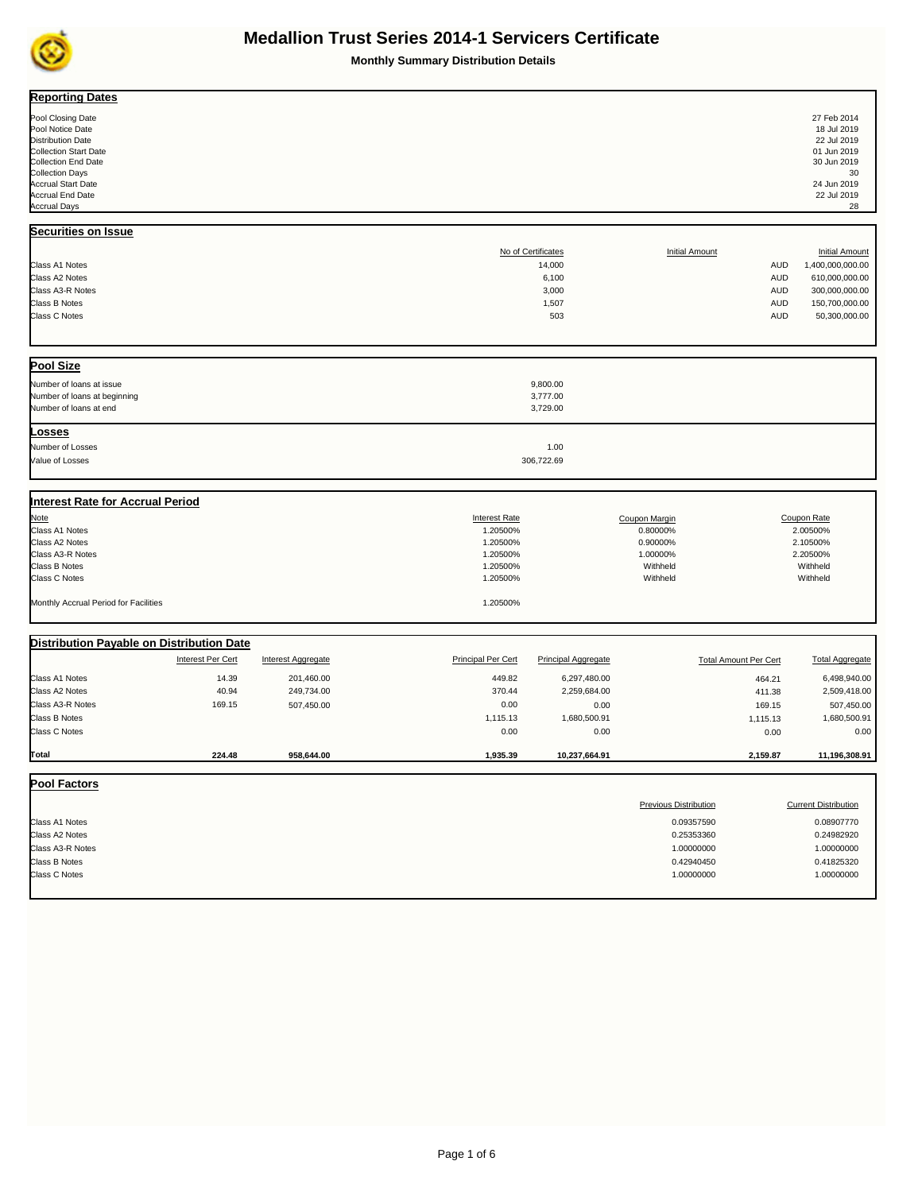

| <b>Reporting Dates</b>                    |                          |                    |                           |                            |                       |                              |                             |
|-------------------------------------------|--------------------------|--------------------|---------------------------|----------------------------|-----------------------|------------------------------|-----------------------------|
|                                           |                          |                    |                           |                            |                       |                              | 27 Feb 2014                 |
| Pool Closing Date<br>Pool Notice Date     |                          |                    |                           |                            |                       |                              | 18 Jul 2019                 |
| <b>Distribution Date</b>                  |                          |                    |                           |                            |                       |                              | 22 Jul 2019                 |
| <b>Collection Start Date</b>              |                          |                    |                           |                            |                       |                              | 01 Jun 2019                 |
| <b>Collection End Date</b>                |                          |                    |                           |                            |                       |                              | 30 Jun 2019                 |
| <b>Collection Days</b>                    |                          |                    |                           |                            |                       |                              | 30                          |
| <b>Accrual Start Date</b>                 |                          |                    |                           |                            |                       |                              | 24 Jun 2019                 |
| <b>Accrual End Date</b>                   |                          |                    |                           |                            |                       |                              | 22 Jul 2019                 |
| <b>Accrual Days</b>                       |                          |                    |                           |                            |                       |                              | 28                          |
| Securities on Issue                       |                          |                    |                           |                            |                       |                              |                             |
|                                           |                          |                    |                           |                            |                       |                              |                             |
|                                           |                          |                    |                           | No of Certificates         | <b>Initial Amount</b> |                              | <b>Initial Amount</b>       |
| Class A1 Notes                            |                          |                    |                           | 14,000                     |                       | <b>AUD</b>                   | 1,400,000,000.00            |
| Class A2 Notes                            |                          |                    |                           | 6,100                      |                       | <b>AUD</b>                   | 610,000,000.00              |
| Class A3-R Notes                          |                          |                    |                           | 3,000                      |                       | <b>AUD</b>                   | 300,000,000.00              |
| <b>Class B Notes</b>                      |                          |                    |                           | 1,507                      |                       | <b>AUD</b>                   | 150,700,000.00              |
| <b>Class C Notes</b>                      |                          |                    |                           | 503                        |                       | <b>AUD</b>                   | 50,300,000.00               |
|                                           |                          |                    |                           |                            |                       |                              |                             |
| <b>Pool Size</b>                          |                          |                    |                           |                            |                       |                              |                             |
| Number of loans at issue                  |                          |                    |                           | 9,800.00                   |                       |                              |                             |
| Number of loans at beginning              |                          |                    |                           | 3,777.00                   |                       |                              |                             |
| Number of loans at end                    |                          |                    |                           | 3,729.00                   |                       |                              |                             |
| <u>Losses</u>                             |                          |                    |                           |                            |                       |                              |                             |
| Number of Losses                          |                          |                    |                           | 1.00                       |                       |                              |                             |
| Value of Losses                           |                          |                    |                           | 306,722.69                 |                       |                              |                             |
|                                           |                          |                    |                           |                            |                       |                              |                             |
|                                           |                          |                    |                           |                            |                       |                              |                             |
| <b>Interest Rate for Accrual Period</b>   |                          |                    |                           |                            |                       |                              |                             |
| Note                                      |                          |                    | <b>Interest Rate</b>      |                            | <b>Coupon Margin</b>  |                              | Coupon Rate                 |
| Class A1 Notes                            |                          |                    | 1.20500%                  |                            | 0.80000%              |                              | 2.00500%                    |
| Class A2 Notes                            |                          |                    | 1.20500%                  |                            | 0.90000%              |                              | 2.10500%                    |
| Class A3-R Notes                          |                          |                    | 1.20500%                  |                            | 1.00000%              |                              | 2.20500%                    |
| <b>Class B Notes</b>                      |                          |                    | 1.20500%                  |                            | Withheld              |                              | Withheld                    |
| Class C Notes                             |                          |                    | 1.20500%                  |                            | Withheld              |                              | Withheld                    |
| Monthly Accrual Period for Facilities     |                          |                    | 1.20500%                  |                            |                       |                              |                             |
|                                           |                          |                    |                           |                            |                       |                              |                             |
| Distribution Payable on Distribution Date |                          |                    |                           |                            |                       |                              |                             |
|                                           | <b>Interest Per Cert</b> | Interest Aggregate | <b>Principal Per Cert</b> | <b>Principal Aggregate</b> |                       | <b>Total Amount Per Cert</b> | <b>Total Aggregate</b>      |
| <b>Class A1 Notes</b>                     | 14.39                    | 201,460.00         | 449.82                    | 6,297,480.00               |                       | 464.21                       | 6,498,940.00                |
| Class A2 Notes                            | 40.94                    | 249,734.00         | 370.44                    | 2,259,684.00               |                       | 411.38                       | 2,509,418.00                |
| Class A3-R Notes                          | 169.15                   | 507,450.00         | 0.00                      | 0.00                       |                       | 169.15                       | 507,450.00                  |
| <b>Class B Notes</b>                      |                          |                    | 1,115.13                  | 1,680,500.91               |                       | 1,115.13                     | 1,680,500.91                |
| <b>Class C Notes</b>                      |                          |                    | 0.00                      | 0.00                       |                       | 0.00                         | 0.00                        |
|                                           |                          |                    |                           |                            |                       |                              |                             |
| Total                                     | 224.48                   | 958,644.00         | 1,935.39                  | 10,237,664.91              |                       | 2,159.87                     | 11,196,308.91               |
| <b>Pool Factors</b>                       |                          |                    |                           |                            |                       |                              |                             |
|                                           |                          |                    |                           |                            | Previous Distribution |                              | <b>Current Distribution</b> |
|                                           |                          |                    |                           |                            |                       |                              |                             |
| Class A1 Notes                            |                          |                    |                           |                            | 0.09357590            |                              | 0.08907770                  |
| Class A2 Notes                            |                          |                    |                           |                            | 0.25353360            |                              | 0.24982920                  |
| Class A3-R Notes                          |                          |                    |                           |                            | 1.00000000            |                              | 1.00000000                  |
| Class B Notes                             |                          |                    |                           |                            | 0.42940450            |                              | 0.41825320                  |
| Class C Notes                             |                          |                    |                           |                            | 1.00000000            |                              | 1.00000000                  |
|                                           |                          |                    |                           |                            |                       |                              |                             |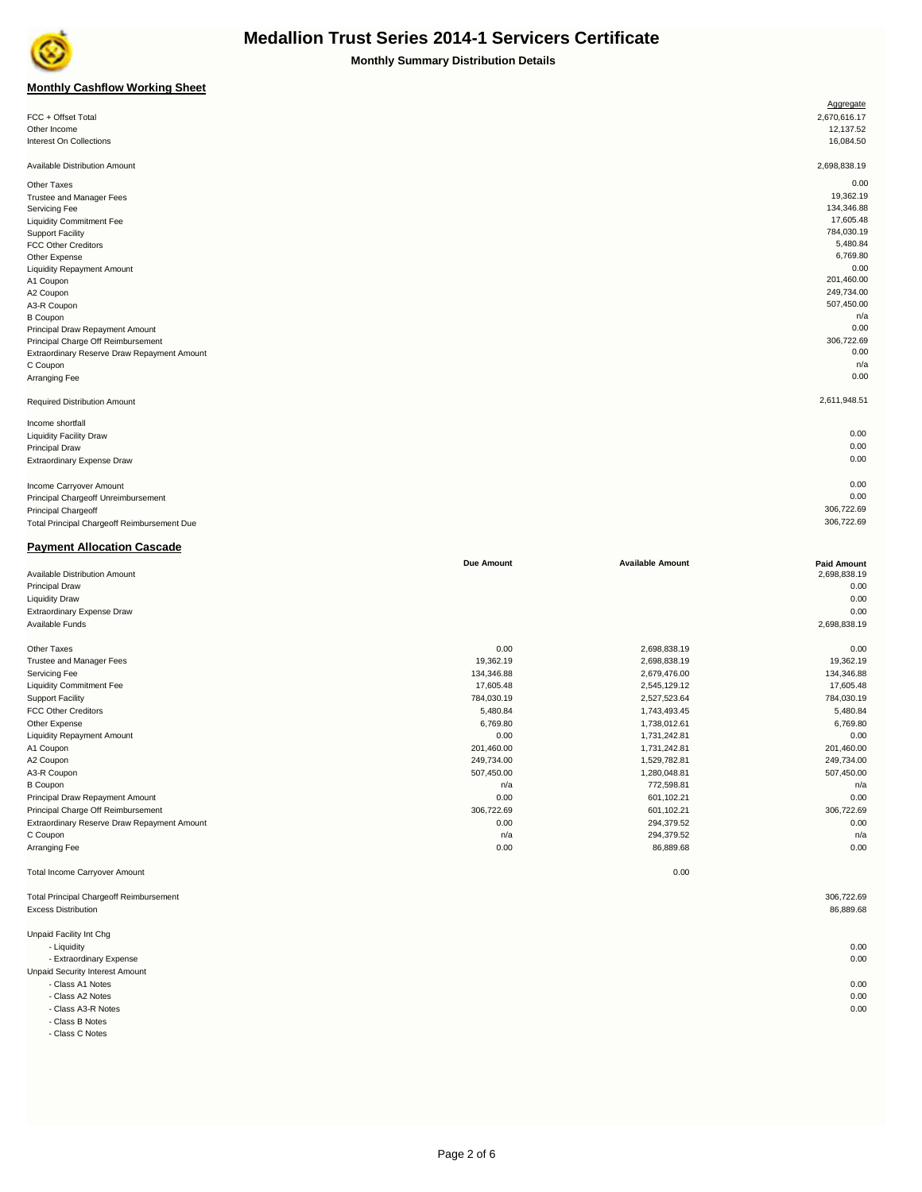

**Monthly Summary Distribution Details**

### **Monthly Cashflow Working Sheet**

| <b>MUILIIII</b> Cashilow Wulking Sheet         |                   |                         |                    |
|------------------------------------------------|-------------------|-------------------------|--------------------|
|                                                |                   |                         | Aggregate          |
| FCC + Offset Total                             |                   |                         | 2,670,616.17       |
| Other Income                                   |                   |                         | 12,137.52          |
| Interest On Collections                        |                   |                         | 16,084.50          |
|                                                |                   |                         |                    |
| Available Distribution Amount                  |                   |                         | 2,698,838.19       |
| Other Taxes                                    |                   |                         | 0.00               |
| Trustee and Manager Fees                       |                   |                         | 19,362.19          |
| Servicing Fee                                  |                   |                         | 134,346.88         |
| <b>Liquidity Commitment Fee</b>                |                   |                         | 17,605.48          |
| <b>Support Facility</b>                        |                   |                         | 784,030.19         |
| FCC Other Creditors                            |                   |                         | 5,480.84           |
| Other Expense                                  |                   |                         | 6,769.80           |
| <b>Liquidity Repayment Amount</b>              |                   |                         | 0.00               |
| A1 Coupon                                      |                   |                         | 201,460.00         |
| A2 Coupon                                      |                   |                         | 249,734.00         |
| A3-R Coupon                                    |                   |                         | 507,450.00         |
| <b>B</b> Coupon                                |                   |                         | n/a                |
| Principal Draw Repayment Amount                |                   |                         | 0.00               |
| Principal Charge Off Reimbursement             |                   |                         | 306,722.69         |
| Extraordinary Reserve Draw Repayment Amount    |                   |                         | 0.00               |
| C Coupon                                       |                   |                         | n/a                |
| Arranging Fee                                  |                   |                         | 0.00               |
| <b>Required Distribution Amount</b>            |                   |                         | 2,611,948.51       |
|                                                |                   |                         |                    |
| Income shortfall                               |                   |                         |                    |
| <b>Liquidity Facility Draw</b>                 |                   |                         | 0.00               |
| Principal Draw                                 |                   |                         | 0.00               |
| Extraordinary Expense Draw                     |                   |                         | 0.00               |
|                                                |                   |                         |                    |
| Income Carryover Amount                        |                   |                         | 0.00               |
| Principal Chargeoff Unreimbursement            |                   |                         | 0.00               |
| Principal Chargeoff                            |                   |                         | 306,722.69         |
| Total Principal Chargeoff Reimbursement Due    |                   |                         | 306,722.69         |
|                                                |                   |                         |                    |
| <b>Payment Allocation Cascade</b>              |                   |                         |                    |
|                                                | <b>Due Amount</b> | <b>Available Amount</b> | <b>Paid Amount</b> |
| Available Distribution Amount                  |                   |                         | 2,698,838.19       |
| Principal Draw                                 |                   |                         | 0.00               |
| <b>Liquidity Draw</b>                          |                   |                         | 0.00               |
| Extraordinary Expense Draw                     |                   |                         | 0.00               |
| Available Funds                                |                   |                         | 2,698,838.19       |
|                                                |                   |                         |                    |
| Other Taxes                                    | 0.00              | 2,698,838.19            | 0.00               |
| Trustee and Manager Fees                       | 19,362.19         | 2,698,838.19            | 19,362.19          |
| Servicing Fee                                  | 134,346.88        | 2,679,476.00            | 134,346.88         |
| <b>Liquidity Commitment Fee</b>                | 17,605.48         | 2,545,129.12            | 17,605.48          |
| <b>Support Facility</b>                        | 784,030.19        | 2,527,523.64            | 784,030.19         |
| FCC Other Creditors                            | 5,480.84          | 1,743,493.45            | 5,480.84           |
| Other Expense                                  | 6,769.80          | 1,738,012.61            | 6,769.80           |
| <b>Liquidity Repayment Amount</b>              | 0.00              | 1,731,242.81            | 0.00               |
| A1 Coupon                                      | 201,460.00        | 1,731,242.81            | 201,460.00         |
| A2 Coupon                                      | 249,734.00        | 1,529,782.81            | 249,734.00         |
| A3-R Coupon                                    | 507,450.00        | 1,280,048.81            | 507,450.00         |
| <b>B</b> Coupon                                | n/a               | 772,598.81              | n/a                |
| Principal Draw Repayment Amount                | 0.00              | 601,102.21              | 0.00               |
| Principal Charge Off Reimbursement             | 306,722.69        | 601,102.21              | 306,722.69         |
| Extraordinary Reserve Draw Repayment Amount    | 0.00              | 294,379.52              | 0.00               |
| C Coupon                                       | n/a               | 294,379.52              | n/a                |
| Arranging Fee                                  | 0.00              | 86,889.68               | 0.00               |
|                                                |                   |                         |                    |
| <b>Total Income Carryover Amount</b>           |                   | 0.00                    |                    |
|                                                |                   |                         |                    |
| <b>Total Principal Chargeoff Reimbursement</b> |                   |                         | 306,722.69         |
| <b>Excess Distribution</b>                     |                   |                         | 86,889.68          |

 - Liquidity 0.00 - Extraordinary Expense 0.00

- Class A1 Notes 0.00

- Class A2 Notes 0.00

- Class A3-R Notes 0.00

- Class B Notes

Unpaid Security Interest Amount

- Class C Notes

Unpaid Facility Int Chg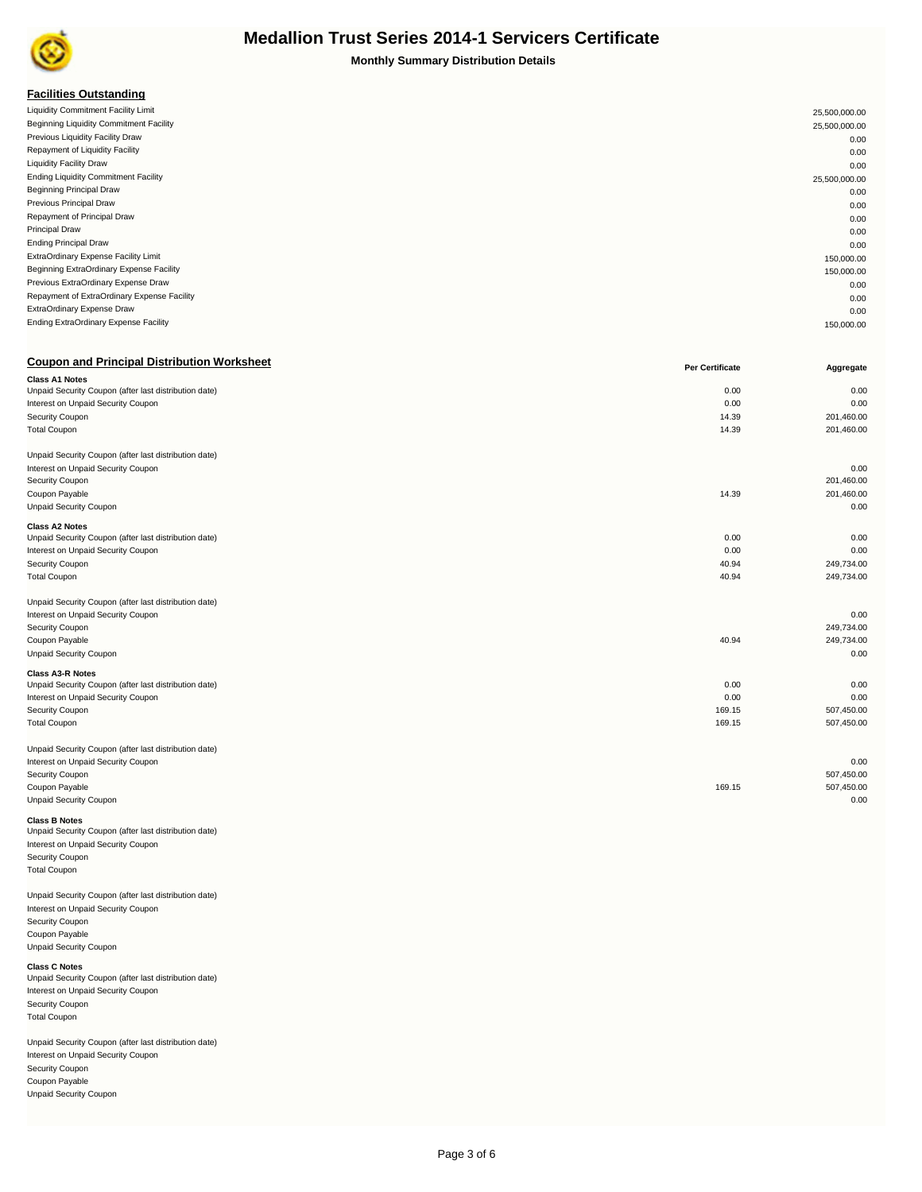

**Monthly Summary Distribution Details**

### **Facilities Outstanding**

| Liquidity Commitment Facility Limit         | 25,500,000.00 |
|---------------------------------------------|---------------|
| Beginning Liquidity Commitment Facility     | 25,500,000.00 |
| Previous Liquidity Facility Draw            | 0.00          |
| Repayment of Liquidity Facility             | 0.00          |
| <b>Liquidity Facility Draw</b>              | 0.00          |
| <b>Ending Liquidity Commitment Facility</b> | 25,500,000.00 |
| <b>Beginning Principal Draw</b>             | 0.00          |
| Previous Principal Draw                     | 0.00          |
| Repayment of Principal Draw                 | 0.00          |
| <b>Principal Draw</b>                       | 0.00          |
| <b>Ending Principal Draw</b>                | 0.00          |
| ExtraOrdinary Expense Facility Limit        | 150,000.00    |
| Beginning ExtraOrdinary Expense Facility    | 150,000.00    |
| Previous ExtraOrdinary Expense Draw         | 0.00          |
| Repayment of ExtraOrdinary Expense Facility | 0.00          |
| ExtraOrdinary Expense Draw                  | 0.00          |
| Ending ExtraOrdinary Expense Facility       | 150,000.00    |
|                                             |               |

| <b>Coupon and Principal Distribution Worksheet</b>    | <b>Per Certificate</b> | Aggregate  |
|-------------------------------------------------------|------------------------|------------|
| <b>Class A1 Notes</b>                                 |                        |            |
| Unpaid Security Coupon (after last distribution date) | 0.00                   | 0.00       |
| Interest on Unpaid Security Coupon                    | 0.00                   | 0.00       |
| Security Coupon                                       | 14.39                  | 201,460.00 |
| <b>Total Coupon</b>                                   | 14.39                  | 201,460.00 |
| Unpaid Security Coupon (after last distribution date) |                        |            |
| Interest on Unpaid Security Coupon                    |                        | 0.00       |
| Security Coupon                                       |                        | 201,460.00 |
| Coupon Payable                                        | 14.39                  | 201,460.00 |
| <b>Unpaid Security Coupon</b>                         |                        | 0.00       |
| <b>Class A2 Notes</b>                                 |                        |            |
| Unpaid Security Coupon (after last distribution date) | 0.00                   | 0.00       |
| Interest on Unpaid Security Coupon                    | 0.00                   | 0.00       |
| Security Coupon                                       | 40.94                  | 249,734.00 |
| <b>Total Coupon</b>                                   | 40.94                  | 249,734.00 |
| Unpaid Security Coupon (after last distribution date) |                        |            |
| Interest on Unpaid Security Coupon                    |                        | 0.00       |
| Security Coupon                                       |                        | 249,734.00 |
| Coupon Payable                                        | 40.94                  | 249,734.00 |
| <b>Unpaid Security Coupon</b>                         |                        | 0.00       |
| <b>Class A3-R Notes</b>                               |                        |            |
| Unpaid Security Coupon (after last distribution date) | 0.00                   | 0.00       |
| Interest on Unpaid Security Coupon                    | 0.00                   | 0.00       |
| Security Coupon                                       | 169.15                 | 507,450.00 |
| <b>Total Coupon</b>                                   | 169.15                 | 507,450.00 |
| Unpaid Security Coupon (after last distribution date) |                        |            |
| Interest on Unpaid Security Coupon                    |                        | 0.00       |
| Security Coupon                                       |                        | 507,450.00 |
| Coupon Payable                                        | 169.15                 | 507,450.00 |
| <b>Unpaid Security Coupon</b>                         |                        | 0.00       |

### **Class B Notes**

Unpaid Security Coupon (after last distribution date) Interest on Unpaid Security Coupon Security Coupon Total Coupon

Unpaid Security Coupon (after last distribution date) Interest on Unpaid Security Coupon Security Coupon Coupon Payable Unpaid Security Coupon

#### **Class C Notes**

Unpaid Security Coupon (after last distribution date) Interest on Unpaid Security Coupon Security Coupon Total Coupon

Unpaid Security Coupon (after last distribution date) Interest on Unpaid Security Coupon Security Coupon Coupon Payable Unpaid Security Coupon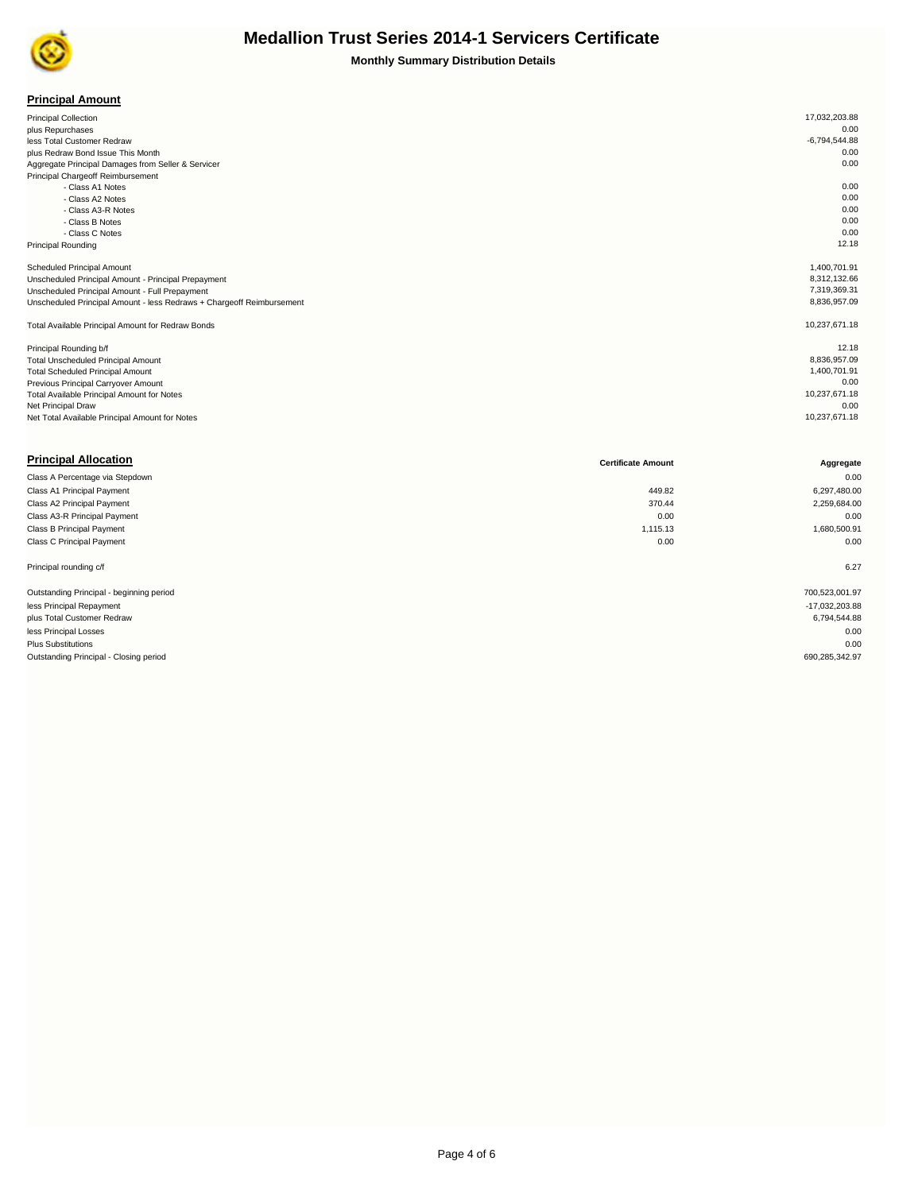

|  | <b>Principal Amount</b> |  |  |  |  |
|--|-------------------------|--|--|--|--|
|--|-------------------------|--|--|--|--|

| <b>Principal Collection</b>                                           | 17,032,203.88   |
|-----------------------------------------------------------------------|-----------------|
| plus Repurchases                                                      | 0.00            |
| less Total Customer Redraw                                            | $-6,794,544.88$ |
| plus Redraw Bond Issue This Month                                     | 0.00            |
| Aggregate Principal Damages from Seller & Servicer                    | 0.00            |
| Principal Chargeoff Reimbursement                                     |                 |
| - Class A1 Notes                                                      | 0.00            |
| - Class A2 Notes                                                      | 0.00            |
| - Class A3-R Notes                                                    | 0.00            |
| - Class B Notes                                                       | 0.00            |
| - Class C Notes                                                       | 0.00            |
| <b>Principal Rounding</b>                                             | 12.18           |
|                                                                       |                 |
| Scheduled Principal Amount                                            | 1,400,701.91    |
| Unscheduled Principal Amount - Principal Prepayment                   | 8,312,132.66    |
| Unscheduled Principal Amount - Full Prepayment                        | 7,319,369.31    |
| Unscheduled Principal Amount - less Redraws + Chargeoff Reimbursement | 8,836,957.09    |
| Total Available Principal Amount for Redraw Bonds                     | 10,237,671.18   |
| Principal Rounding b/f                                                | 12.18           |
| Total Unscheduled Principal Amount                                    | 8,836,957.09    |
| <b>Total Scheduled Principal Amount</b>                               | 1,400,701.91    |
| Previous Principal Carryover Amount                                   | 0.00            |
| <b>Total Available Principal Amount for Notes</b>                     | 10,237,671.18   |
| Net Principal Draw                                                    | 0.00            |
| Net Total Available Principal Amount for Notes                        | 10,237,671.18   |

| <b>Principal Allocation</b>              | <b>Certificate Amount</b> | Aggregate      |
|------------------------------------------|---------------------------|----------------|
| Class A Percentage via Stepdown          |                           | 0.00           |
| Class A1 Principal Payment               | 449.82                    | 6,297,480.00   |
| Class A2 Principal Payment               | 370.44                    | 2,259,684.00   |
| Class A3-R Principal Payment             | 0.00                      | 0.00           |
| Class B Principal Payment                | 1,115.13                  | 1,680,500.91   |
| Class C Principal Payment                | 0.00                      | 0.00           |
| Principal rounding c/f                   |                           | 6.27           |
| Outstanding Principal - beginning period |                           | 700,523,001.97 |
| less Principal Repayment                 |                           | -17,032,203.88 |
| plus Total Customer Redraw               |                           | 6,794,544.88   |
| less Principal Losses                    |                           | 0.00           |
| <b>Plus Substitutions</b>                |                           | 0.00           |
| Outstanding Principal - Closing period   |                           | 690,285,342.97 |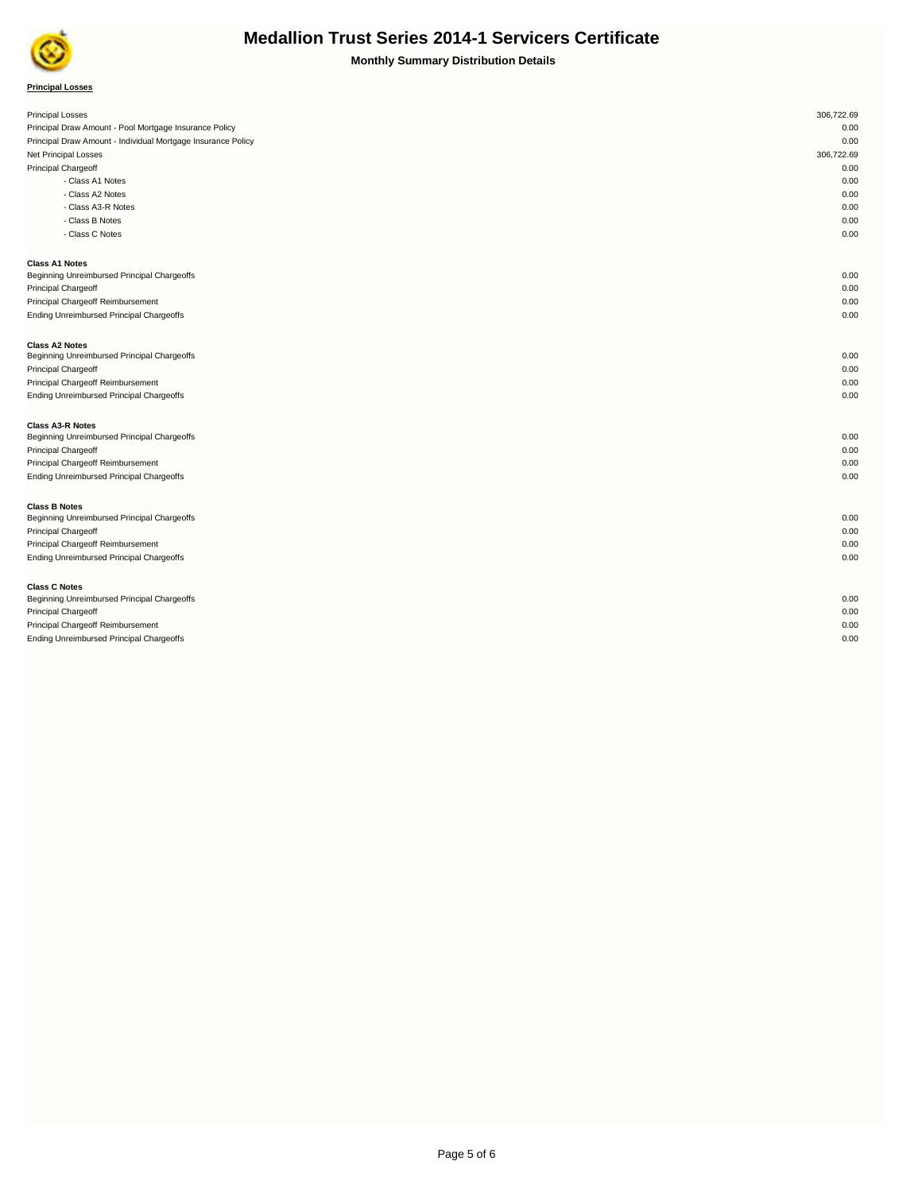

| <b>Principal Losses</b>                                      | 306,722.69 |
|--------------------------------------------------------------|------------|
| Principal Draw Amount - Pool Mortgage Insurance Policy       | 0.00       |
| Principal Draw Amount - Individual Mortgage Insurance Policy | 0.00       |
| Net Principal Losses                                         | 306,722.69 |
| Principal Chargeoff                                          | 0.00       |
| - Class A1 Notes                                             | 0.00       |
| - Class A2 Notes                                             | 0.00       |
| - Class A3-R Notes                                           | 0.00       |
| - Class B Notes                                              | 0.00       |
| - Class C Notes                                              | 0.00       |
| <b>Class A1 Notes</b>                                        |            |
| Beginning Unreimbursed Principal Chargeoffs                  | 0.00       |
| <b>Principal Chargeoff</b>                                   | 0.00       |
| Principal Chargeoff Reimbursement                            | 0.00       |
| Ending Unreimbursed Principal Chargeoffs                     | 0.00       |
| <b>Class A2 Notes</b>                                        |            |
| Beginning Unreimbursed Principal Chargeoffs                  | 0.00       |
| Principal Chargeoff                                          | 0.00       |
| Principal Chargeoff Reimbursement                            | 0.00       |
| Ending Unreimbursed Principal Chargeoffs                     | 0.00       |
| <b>Class A3-R Notes</b>                                      |            |
| Beginning Unreimbursed Principal Chargeoffs                  | 0.00       |
| <b>Principal Chargeoff</b>                                   | 0.00       |
| Principal Chargeoff Reimbursement                            | 0.00       |
| Ending Unreimbursed Principal Chargeoffs                     | 0.00       |
| <b>Class B Notes</b>                                         |            |
| Beginning Unreimbursed Principal Chargeoffs                  | 0.00       |
| Principal Chargeoff                                          | 0.00       |
| Principal Chargeoff Reimbursement                            | 0.00       |
| <b>Ending Unreimbursed Principal Chargeoffs</b>              | 0.00       |
| <b>Class C Notes</b>                                         |            |
| Beginning Unreimbursed Principal Chargeoffs                  | 0.00       |
| <b>Principal Chargeoff</b>                                   | 0.00       |
| Principal Chargeoff Reimbursement                            | 0.00       |
| Ending Unreimbursed Principal Chargeoffs                     | 0.00       |